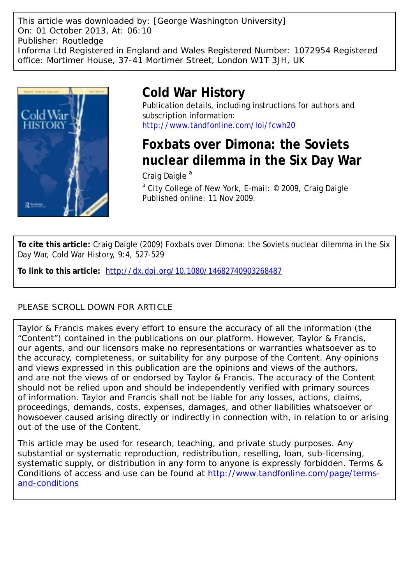This article was downloaded by: [George Washington University] On: 01 October 2013, At: 06:10 Publisher: Routledge Informa Ltd Registered in England and Wales Registered Number: 1072954 Registered office: Mortimer House, 37-41 Mortimer Street, London W1T 3JH, UK



## **Cold War History**

Publication details, including instructions for authors and subscription information: <http://www.tandfonline.com/loi/fcwh20>

# **Foxbats over Dimona: the Soviets nuclear dilemma in the Six Day War**

Craig Daigle<sup>a</sup>

<sup>a</sup> City College of New York, E-mail: © 2009, Craig Daigle Published online: 11 Nov 2009.

**To cite this article:** Craig Daigle (2009) Foxbats over Dimona: the Soviets nuclear dilemma in the Six Day War, Cold War History, 9:4, 527-529

**To link to this article:** <http://dx.doi.org/10.1080/14682740903268487>

### PLEASE SCROLL DOWN FOR ARTICLE

Taylor & Francis makes every effort to ensure the accuracy of all the information (the "Content") contained in the publications on our platform. However, Taylor & Francis, our agents, and our licensors make no representations or warranties whatsoever as to the accuracy, completeness, or suitability for any purpose of the Content. Any opinions and views expressed in this publication are the opinions and views of the authors, and are not the views of or endorsed by Taylor & Francis. The accuracy of the Content should not be relied upon and should be independently verified with primary sources of information. Taylor and Francis shall not be liable for any losses, actions, claims, proceedings, demands, costs, expenses, damages, and other liabilities whatsoever or howsoever caused arising directly or indirectly in connection with, in relation to or arising out of the use of the Content.

This article may be used for research, teaching, and private study purposes. Any substantial or systematic reproduction, redistribution, reselling, loan, sub-licensing, systematic supply, or distribution in any form to anyone is expressly forbidden. Terms & Conditions of access and use can be found at [http://www.tandfonline.com/page/terms](http://www.tandfonline.com/page/terms-and-conditions)[and-conditions](http://www.tandfonline.com/page/terms-and-conditions)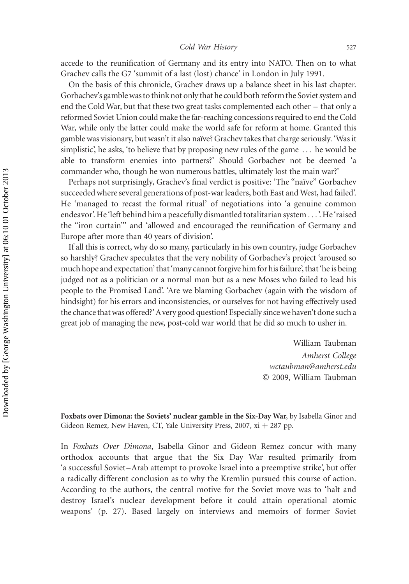#### Cold War History 527

accede to the reunification of Germany and its entry into NATO. Then on to what Grachev calls the G7 'summit of a last (lost) chance' in London in July 1991.

On the basis of this chronicle, Grachev draws up a balance sheet in his last chapter. Gorbachev's gamblewas to think not only that he could both reform the Soviet system and end the Cold War, but that these two great tasks complemented each other – that only a reformed Soviet Union could make the far-reaching concessions required to end the Cold War, while only the latter could make the world safe for reform at home. Granted this gamble was visionary, but wasn't it also naïve? Grachev takes that charge seriously. 'Was it simplistic', he asks, 'to believe that by proposing new rules of the game ... he would be able to transform enemies into partners?' Should Gorbachev not be deemed 'a commander who, though he won numerous battles, ultimately lost the main war?'

Perhaps not surprisingly, Grachev's final verdict is positive: 'The "naïve" Gorbachev succeeded where several generations of post-war leaders, both East and West, had failed'. He 'managed to recast the formal ritual' of negotiations into 'a genuine common endeavor'. He 'left behind him a peacefully dismantled totalitarian system ...'. He 'raised the "iron curtain"' and 'allowed and encouraged the reunification of Germany and Europe after more than 40 years of division'.

If all this is correct, why do so many, particularly in his own country, judge Gorbachev so harshly? Grachev speculates that the very nobility of Gorbachev's project 'aroused so much hope and expectation' that 'many cannot forgive himfor hisfailure', that 'he is being judged not as a politician or a normal man but as a new Moses who failed to lead his people to the Promised Land'. 'Are we blaming Gorbachev (again with the wisdom of hindsight) for his errors and inconsistencies, or ourselves for not having effectively used the chance that was offered?' Avery good question! Especially since we haven't done such a great job of managing the new, post-cold war world that he did so much to usher in.

> William Taubman Amherst College wctaubman@amherst.edu  $©$  2009, William Taubman

Foxbats over Dimona: the Soviets' nuclear gamble in the Six-Day War, by Isabella Ginor and Gideon Remez, New Haven, CT, Yale University Press, 2007,  $xi + 287$  pp.

In Foxbats Over Dimona, Isabella Ginor and Gideon Remez concur with many orthodox accounts that argue that the Six Day War resulted primarily from 'a successful Soviet –Arab attempt to provoke Israel into a preemptive strike', but offer a radically different conclusion as to why the Kremlin pursued this course of action. According to the authors, the central motive for the Soviet move was to 'halt and destroy Israel's nuclear development before it could attain operational atomic weapons' (p. 27). Based largely on interviews and memoirs of former Soviet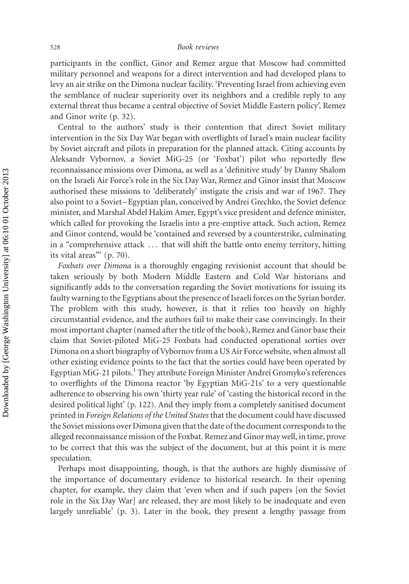#### 528 Book reviews

participants in the conflict, Ginor and Remez argue that Moscow had committed military personnel and weapons for a direct intervention and had developed plans to levy an air strike on the Dimona nuclear facility. 'Preventing Israel from achieving even the semblance of nuclear superiority over its neighbors and a credible reply to any external threat thus became a central objective of Soviet Middle Eastern policy', Remez and Ginor write (p. 32).

Central to the authors' study is their contention that direct Soviet military intervention in the Six Day War began with overflights of Israel's main nuclear facility by Soviet aircraft and pilots in preparation for the planned attack. Citing accounts by Aleksandr Vybornov, a Soviet MiG-25 (or 'Foxbat') pilot who reportedly flew reconnaissance missions over Dimona, as well as a 'definitive study' by Danny Shalom on the Israeli Air Force's role in the Six Day War, Remez and Ginor insist that Moscow authorised these missions to 'deliberately' instigate the crisis and war of 1967. They also point to a Soviet –Egyptian plan, conceived by Andrei Grechko, the Soviet defence minister, and Marshal Abdel Hakim Amer, Egypt's vice president and defence minister, which called for provoking the Israelis into a pre-emptive attack. Such action, Remez and Ginor contend, would be 'contained and reversed by a counterstrike, culminating in a "comprehensive attack ... that will shift the battle onto enemy territory, hitting its vital areas"' (p. 70).

Foxbats over Dimona is a thoroughly engaging revisionist account that should be taken seriously by both Modern Middle Eastern and Cold War historians and significantly adds to the conversation regarding the Soviet motivations for issuing its faulty warning to the Egyptians about the presence of Israeli forces on the Syrian border. The problem with this study, however, is that it relies too heavily on highly circumstantial evidence, and the authors fail to make their case convincingly. In their most important chapter (named after the title of the book), Remez and Ginor base their claim that Soviet-piloted MiG-25 Foxbats had conducted operational sorties over Dimona on a short biography of Vybornov from a US Air Force website, when almost all other existing evidence points to the fact that the sorties could have been operated by Egyptian MiG-21 pilots.<sup>1</sup> They attribute Foreign Minister Andrei Gromyko's references to overflights of the Dimona reactor 'by Egyptian MiG-21s' to a very questionable adherence to observing his own 'thirty year rule' of 'casting the historical record in the desired political light' (p. 122). And they imply from a completely sanitised document printed in Foreign Relations of the United States that the document could have discussed the Soviet missions over Dimona given that the date of the document corresponds to the alleged reconnaissance mission of the Foxbat. Remez and Ginor may well, in time, prove to be correct that this was the subject of the document, but at this point it is mere speculation.

Perhaps most disappointing, though, is that the authors are highly dismissive of the importance of documentary evidence to historical research. In their opening chapter, for example, they claim that 'even when and if such papers [on the Soviet role in the Six Day War] are released, they are most likely to be inadequate and even largely unreliable' (p. 3). Later in the book, they present a lengthy passage from